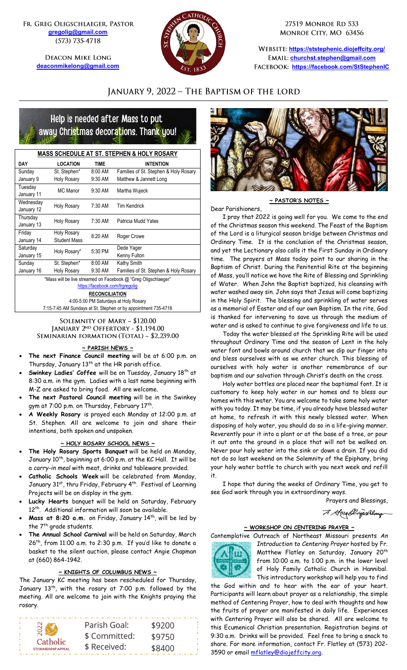FR. GREG OLIGSCHLAEGER, PASTOR **[gregolig@gmail.com](mailto:gregolig@gmail.com)** (573) 735-4718

> **DEACON MIKE LONG [deaconmikelong@gmail.com](mailto:deaconmikelong@gmail.com)**



27519 MONROE RD 533 MONROE CITY, MO 63456

**<https://ststephenic.diojeffcity.org/> [churchst.stephen@gmail.com](mailto:churchst.stephen@gmail.com) <https://facebook.com/StStephenIC>**

# JANUARY 9, 2022 - THE BAPTISM OF THE LORD

# Help is needed after Mass to put away Christmas decorations. Thank you!

| <b>MASS SCHEDULE AT ST. STEPHEN &amp; HOLY ROSARY</b>          |                                       |         |                                       |  |  |  |
|----------------------------------------------------------------|---------------------------------------|---------|---------------------------------------|--|--|--|
| DAY                                                            | <b>LOCATION</b>                       | TIME    | <b>INTENTION</b>                      |  |  |  |
| Sunday                                                         | St. Stephen*                          | 8:00 AM | Families of St. Stephen & Holy Rosary |  |  |  |
| January 9                                                      | <b>Holy Rosary</b>                    | 9:30 AM | Matthew & Jannett Long                |  |  |  |
| Tuesday                                                        | MC Manor                              | 9:30 AM | Martha Wujeck                         |  |  |  |
| January 11                                                     |                                       |         |                                       |  |  |  |
| Wednesday                                                      | 7:30 AM<br><b>Holy Rosary</b>         |         | <b>Tim Kendrick</b>                   |  |  |  |
| January 12                                                     |                                       |         |                                       |  |  |  |
| Thursday                                                       | <b>Holy Rosary</b>                    | 7:30 AM | Patricia Mudd Yates                   |  |  |  |
| January 13                                                     |                                       |         |                                       |  |  |  |
| Friday                                                         | <b>Holy Rosary</b>                    | 8:20 AM |                                       |  |  |  |
| January 14                                                     | <b>Student Mass</b>                   |         | Roger Crowe                           |  |  |  |
| Saturday                                                       |                                       | 5:30 PM | Dede Yager                            |  |  |  |
| January 15                                                     | Holy Rosary*                          |         | Kenny Fulton                          |  |  |  |
| Sunday                                                         | St. Stephen*                          | 8:00 AM | Kathy Smith                           |  |  |  |
| January 16                                                     | <b>Holy Rosary</b>                    | 9:30 AM | Families of St. Stephen & Holy Rosary |  |  |  |
| *Mass will be live streamed on Facebook @ "Greg Oligschlaeger" |                                       |         |                                       |  |  |  |
|                                                                | ومزاومهمعمالهم ممرام والممطارات ومللط |         |                                       |  |  |  |

<https://facebook.com/frgregolig> **RECONCILIATION** 4:00-5:00 PM Saturdays at Holy Rosary

7:15-7:45 AM Sundays at St. Stephen or by appointment 735-4718

#### SOLEMNITY OF MARY ~ \$120.00 JANUARY 2ND OFFERTORY - \$1,194.00 SEMINARIAN FORMATION (TOTAL) ~ \$2,239.00

#### **~ PARISH NEWS ~**

- **The next Finance Council meeting** will be at 6:00 p.m. on Thursday, January 13<sup>th</sup> at the HR parish office.
- Swinkey Ladies' Coffee will be on Tuesday, January 18<sup>th</sup> at 8:30 a.m. in the gym. Ladies with a last name beginning with M-Z are asked to bring food. All are welcome.
- **The next Pastoral Council meeting** will be in the Swinkey gym at 7:00 p.m. on Thursday, February 17†h.
- **A Weekly Rosary** is prayed each Monday at 12:00 p.m. at St. Stephen. All are welcome to join and share their intentions, both spoken and unspoken.

#### **~ HOLY ROSARY SCHOOL NEWS ~**

- **The Holy Rosary Sports Banquet** will be held on Monday, January 10<sup>th</sup>, beginning at 6:00 p.m. at the KC Hall. It will be a *carry-in meal* with meat, drinks and tableware provided.
- **Catholic Schools Week** will be celebrated from Monday, January 31st, thru Friday, February 4<sup>th</sup>. Festival of Learning Projects will be on display in the gym.
- **Lucky Hearts** banquet will be held on Saturday, February 12<sup>th</sup>. Additional information will soon be available.
- Mass at 8:20 a.m. on Friday, January 14<sup>th</sup>, will be led by the 7<sup>th</sup> grade students.
- **The Annual School Carnival** will be held on Saturday, March  $26<sup>th</sup>$ , from 11:00 a.m. to 2:30 p.m. If you'd like to donate a basket to the silent auction, please contact Angie Chapman at (660) 864-1942.

### **~ KNIGHTS OF COLUMBUS NEWS ~**

The January KC meeting has been rescheduled for Thursday, January 13<sup>th</sup>, with the rosary at 7:00 p.m. followed by the meeting. All are welcome to join with the Knights praying the rosary.

| 2022                      | Parish Goal:  | \$9200 |  |
|---------------------------|---------------|--------|--|
| Catholic                  | \$ Committed: | \$9750 |  |
| <b>STEWARDSHIP APPEAL</b> | \$ Received:  | \$8400 |  |



**~ PASTOR'S NOTES ~**

Dear Parishioners,

I pray that 2022 is going well for you. We come to the end of the Christmas season this weekend. The Feast of the Baptism of the Lord is a liturgical season bridge between Christmas and Ordinary Time. It is the conclusion of the Christmas season, and yet the Lectionary also calls it the First Sunday in Ordinary time. The prayers at Mass today point to our sharing in the Baptism of Christ. During the Penitential Rite at the beginning of Mass, you'll notice we have the Rite of Blessing and Sprinkling of Water. When John the Baptist baptized, his cleansing with water washed away sin. John says that Jesus will come baptizing in the Holy Spirit. The blessing and sprinkling of water serves as a memorial of Easter and of our own Baptism. In the rite, God is thanked for intervening to save us through the medium of water and is asked to continue to give forgiveness and life to us.

Today the water blessed at the Sprinkling Rite will be used throughout Ordinary Time and the season of Lent in the holy water font and bowls around church that we dip our finger into and bless ourselves with as we enter church. This blessing of ourselves with holy water is another remembrance of our baptism and our salvation through Christ's death on the cross.

Holy water bottles are placed near the baptismal font. It is customary to keep holy water in our homes and to bless our homes with this water. You are welcome to take some holy water with you today. It may be time, if you already have blessed water at home, to refresh it with this newly blessed water. When disposing of holy water, you should do so in a life-giving manner. Reverently pour it into a plant or at the base of a tree, or pour it out onto the ground in a place that will not be walked on. Never pour holy water into the sink or down a drain. If you did not do so last weekend on the Solemnity of the Epiphany, bring your holy water bottle to church with you next week and refill it.

I hope that during the weeks of Ordinary Time, you get to see God work through you in extraordinary ways.

Prayers and Blessings,

7. Green Elizabetrey

# **~ WORKSHOP ON CENTERING PRAYER ~**



Contemplative Outreach of Northeast Missouri presents *An Introduction to Centering Prayer* hosted by Fr. Matthew Flatley on Saturday, January 20<sup>th</sup> from 10:00 a.m. to 1:00 p.m. in the lower level of Holy Family Catholic Church in Hannibal. This introductory workshop will help you to find

the God within and to hear with the ear of your heart. Participants will learn about prayer as a relationship, the simple method of Centering Prayer, how to deal with thoughts and how the fruits of prayer are manifested in daily life. Experiences with Centering Prayer will also be shared. All are welcome to this Ecumenical Christian presentation. Registration begins at 9:30 a.m. Drinks will be provided. Feel free to bring a snack to share. For more information, contact Fr. Flatley at (573) 202 3590 or email [mflatley@diojeffcity.org.](mailto:mflatley@diojeffcity.org)